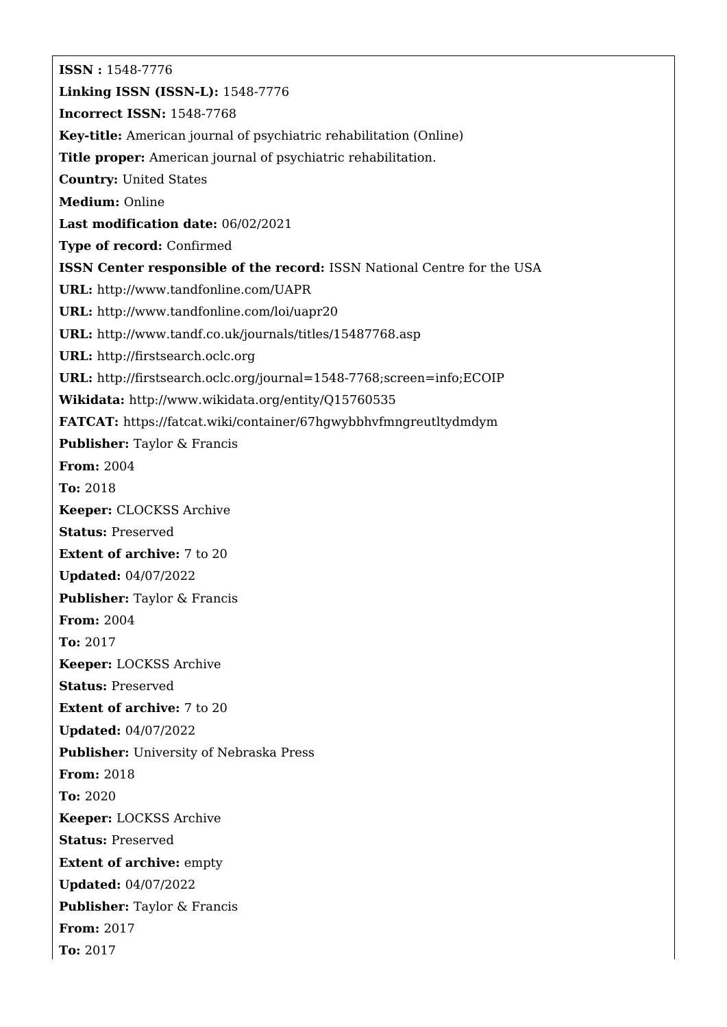**ISSN :** 1548-7776 **Linking ISSN (ISSN-L):** 1548-7776 **Incorrect ISSN:** 1548-7768 **Key-title:** American journal of psychiatric rehabilitation (Online) **Title proper:** American journal of psychiatric rehabilitation. **Country:** United States **Medium:** Online **Last modification date:** 06/02/2021 **Type of record:** Confirmed **ISSN Center responsible of the record:** ISSN National Centre for the USA **URL:** <http://www.tandfonline.com/UAPR> **URL:** <http://www.tandfonline.com/loi/uapr20> **URL:** <http://www.tandf.co.uk/journals/titles/15487768.asp> **URL:** <http://firstsearch.oclc.org> **URL:** <http://firstsearch.oclc.org/journal=1548-7768;screen=info;ECOIP> **Wikidata:** <http://www.wikidata.org/entity/Q15760535> **FATCAT:** <https://fatcat.wiki/container/67hgwybbhvfmngreutltydmdym> **Publisher:** Taylor & Francis **From:** 2004 **To:** 2018 **Keeper:** CLOCKSS Archive **Status:** Preserved **Extent of archive:** 7 to 20 **Updated:** 04/07/2022 **Publisher:** Taylor & Francis **From:** 2004 **To:** 2017 **Keeper:** LOCKSS Archive **Status:** Preserved **Extent of archive:** 7 to 20 **Updated:** 04/07/2022 **Publisher:** University of Nebraska Press **From:** 2018 **To:** 2020 **Keeper:** LOCKSS Archive **Status:** Preserved **Extent of archive:** empty **Updated:** 04/07/2022 **Publisher:** Taylor & Francis **From:** 2017 **To:** 2017